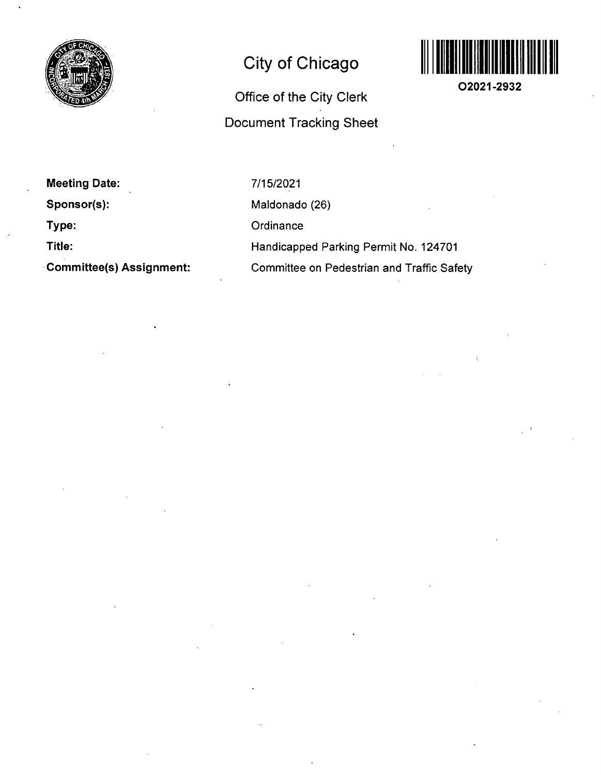

## **City of Chicago**

# **Office of the City Clerk Document Tracking Sheet**



**02021-2932** 

**Meeting Date: Sponsor(s): Type: Title:** 

**Commlttee(s) Assignment:** 

7/15/2021 Maldonado (26) **Ordinance** Handicapped Parking Permit No. 124701 Committee on Pedestrian and Traffic Safety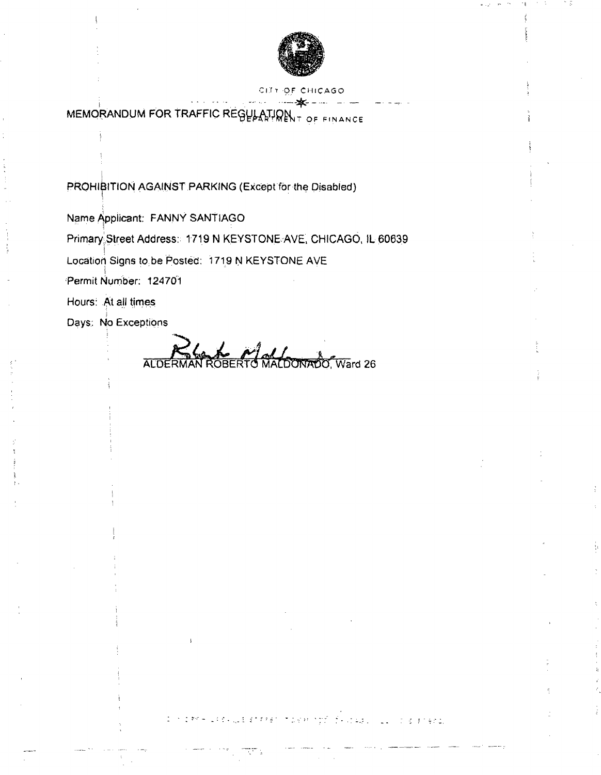

#### CITY OF CHICAGO

MEMORANDUM FOR TRAFFIC REGULATION TOF FINANCE

PROHIBITION AGAINST PARKING (Except for the Disabled)

Name Applicant: FANNY SANTIAGO

Primary;Street Address:: 1719 N KEYSTONE AVE, CHICAGO, IL 60639

Location Signs to be Posted: 1719 N KEYSTONE AVE

Permit Number: 124701

Hours: At all times

Days: No Exceptions

Days; t^o Exceptions Ward 26

Concert Hills of Luck of Fresh in Digital optic fix it was collected an engine